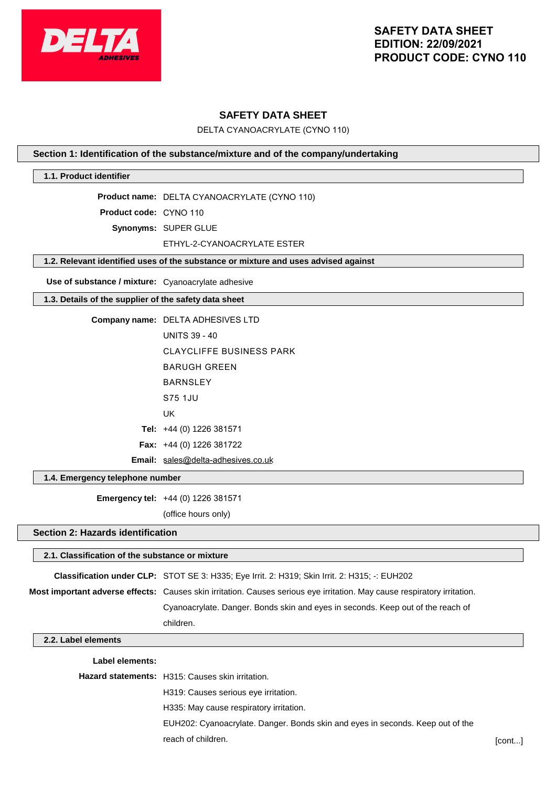

## **SAFETY DATA SHEET**

DELTA CYANOACRYLATE (CYNO 110)

#### **Section 1: Identification of the substance/mixture and of the company/undertaking**

#### **1.1. Product identifier**

**Product name:** DELTA CYANOACRYLATE (CYNO 110)

**Product code:** CYNO 110

**Synonyms:** SUPER GLUE

#### ETHYL-2-CYANOACRYLATE ESTER

#### **1.2. Relevant identified uses of the substance or mixture and uses advised against**

**Use of substance / mixture:** Cyanoacrylate adhesive

#### **1.3. Details of the supplier of the safety data sheet**

| Company name: DELTA ADHESIVES LTD  |
|------------------------------------|
| <b>UNITS 39 - 40</b>               |
| CLAYCLIFFE BUSINESS PARK           |
| BARUGH GRFFN                       |
| <b>BARNSI FY</b>                   |
| S75 1.JU                           |
| UK                                 |
| Tel: $+44$ (0) 1226 381571         |
| <b>Fax:</b> $+44$ (0) 1226 381722  |
| Email: sales@delta-adhesives.co.uk |

#### **1.4. Emergency telephone number**

**Emergency tel:** +44 (0) 1226 381571

(office hours only)

#### **Section 2: Hazards identification**

# **2.1. Classification of the substance or mixture Classification under CLP:** STOT SE 3: H335; Eye Irrit. 2: H319; Skin Irrit. 2: H315; -: EUH202 **Most important adverse effects:** Causes skin irritation. Causes serious eye irritation. May cause respiratory irritation. Cyanoacrylate. Danger. Bonds skin and eyes in seconds. Keep out of the reach of children. **2.2. Label elements Label elements:**

# **Hazard statements:** H315: Causes skin irritation. H319: Causes serious eye irritation. H335: May cause respiratory irritation. EUH202: Cyanoacrylate. Danger. Bonds skin and eyes in seconds. Keep out of the reach of children. [cont...]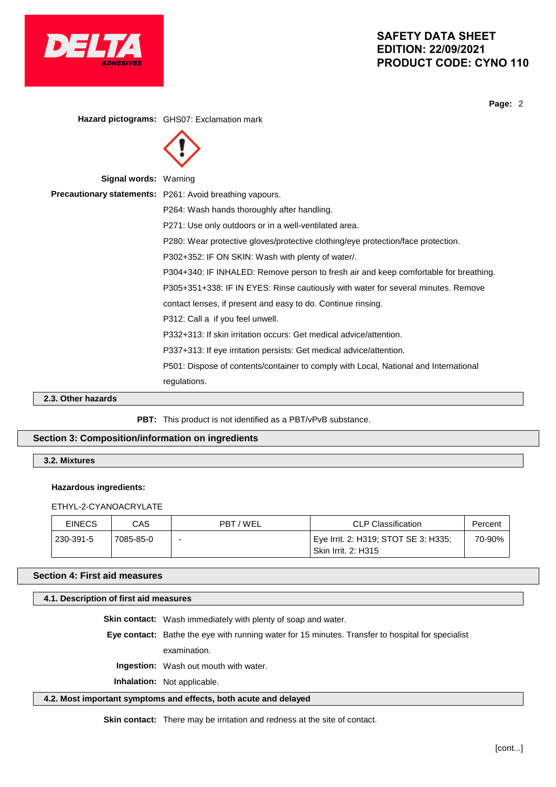

**Page:** 2

**Hazard pictograms:** GHS07: Exclamation mark **Signal words:** Warning **Precautionary statements:** P261: Avoid breathing vapours. P264: Wash hands thoroughly after handling. P271: Use only outdoors or in a well-ventilated area. P280: Wear protective gloves/protective clothing/eye protection/face protection. P302+352: IF ON SKIN: Wash with plenty of water/. P304+340: IF INHALED: Remove person to fresh air and keep comfortable for breathing. P305+351+338: IF IN EYES: Rinse cautiously with water for several minutes. Remove contact lenses, if present and easy to do. Continue rinsing. P312: Call a if you feel unwell. P332+313: If skin irritation occurs: Get medical advice/attention. P337+313: If eye irritation persists: Get medical advice/attention. P501: Dispose of contents/container to comply with Local, National and International regulations. **2.3. Other hazards**

PBT: This product is not identified as a PBT/vPvB substance.

## **Section 3: Composition/information on ingredients**

**3.2. Mixtures**

#### **Hazardous ingredients:**

ETHYL-2-CYANOACRYLATE

| <b>EINECS</b> | CAS       | PBT/WEL                  | <b>CLP Classification</b>                                   | Percent |
|---------------|-----------|--------------------------|-------------------------------------------------------------|---------|
| 230-391-5     | 7085-85-0 | $\overline{\phantom{0}}$ | Eye Irrit. 2: H319; STOT SE 3: H335;<br>Skin Irrit. 2: H315 | 70-90%  |

#### **Section 4: First aid measures**

#### **4.1. Description of first aid measures**

**Skin contact:** Wash immediately with plenty of soap and water.

**Eye contact:** Bathe the eye with running water for 15 minutes. Transfer to hospital for specialist

examination.

**Ingestion:** Wash out mouth with water.

**Inhalation:** Not applicable.

#### **4.2. Most important symptoms and effects, both acute and delayed**

**Skin contact:** There may be irritation and redness at the site of contact.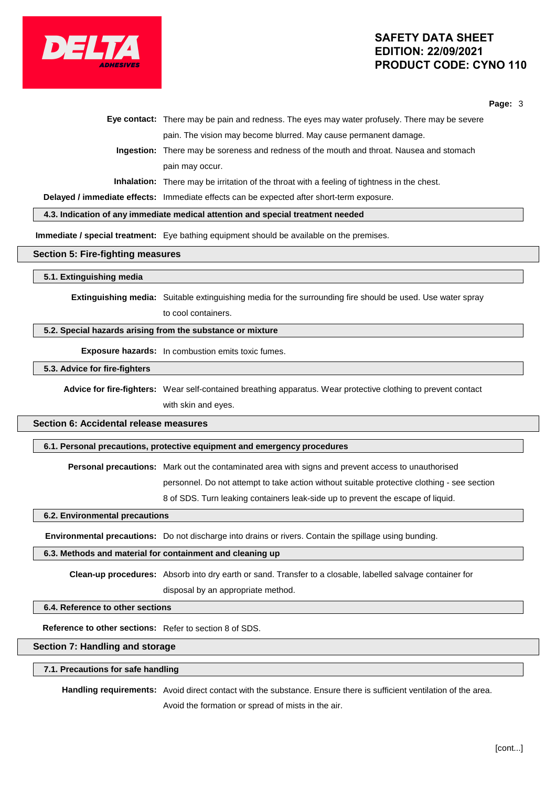

**Page:** 3

|  | Eye contact: There may be pain and redness. The eyes may water profusely. There may be severe      |
|--|----------------------------------------------------------------------------------------------------|
|  | pain. The vision may become blurred. May cause permanent damage.                                   |
|  | Ingestion: There may be soreness and redness of the mouth and throat. Nausea and stomach           |
|  | pain may occur.                                                                                    |
|  | <b>Inhalation:</b> There may be irritation of the throat with a feeling of tightness in the chest. |
|  |                                                                                                    |

**Delayed / immediate effects:** Immediate effects can be expected after short-term exposure.

**4.3. Indication of any immediate medical attention and special treatment needed**

**Immediate / special treatment:** Eye bathing equipment should be available on the premises.

#### **Section 5: Fire-fighting measures**

#### **5.1. Extinguishing media**

**Extinguishing media:** Suitable extinguishing media for the surrounding fire should be used. Use water spray to cool containers.

#### **5.2. Special hazards arising from the substance or mixture**

**Exposure hazards:** In combustion emits toxic fumes.

#### **5.3. Advice for fire-fighters**

**Advice for fire-fighters:** Wear self-contained breathing apparatus. Wear protective clothing to prevent contact with skin and eyes.

# **Section 6: Accidental release measures**

#### **6.1. Personal precautions, protective equipment and emergency procedures**

**Personal precautions:** Mark out the contaminated area with signs and prevent access to unauthorised

personnel. Do not attempt to take action without suitable protective clothing - see section

8 of SDS. Turn leaking containers leak-side up to prevent the escape of liquid.

#### **6.2. Environmental precautions**

**Environmental precautions:** Do not discharge into drains or rivers. Contain the spillage using bunding.

#### **6.3. Methods and material for containment and cleaning up**

**Clean-up procedures:** Absorb into dry earth or sand. Transfer to a closable, labelled salvage container for disposal by an appropriate method.

#### **6.4. Reference to other sections**

**Reference to other sections:** Refer to section 8 of SDS.

#### **Section 7: Handling and storage**

#### **7.1. Precautions for safe handling**

**Handling requirements:** Avoid direct contact with the substance. Ensure there is sufficient ventilation of the area. Avoid the formation or spread of mists in the air.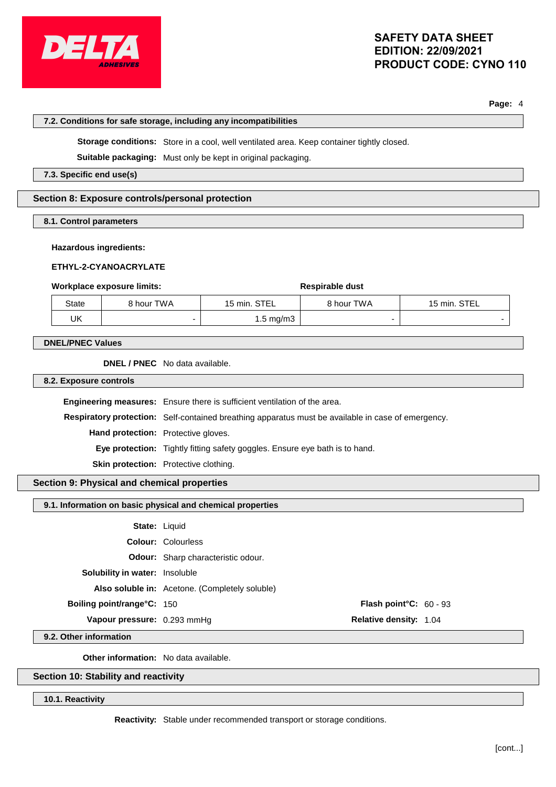

**Page:** 4

|                                                            | 7.2. Conditions for safe storage, including any incompatibilities                         |                                                                                  |                                                                                                    |                        |
|------------------------------------------------------------|-------------------------------------------------------------------------------------------|----------------------------------------------------------------------------------|----------------------------------------------------------------------------------------------------|------------------------|
|                                                            | Storage conditions: Store in a cool, well ventilated area. Keep container tightly closed. |                                                                                  |                                                                                                    |                        |
|                                                            |                                                                                           | Suitable packaging: Must only be kept in original packaging.                     |                                                                                                    |                        |
| 7.3. Specific end use(s)                                   |                                                                                           |                                                                                  |                                                                                                    |                        |
|                                                            |                                                                                           |                                                                                  |                                                                                                    |                        |
| Section 8: Exposure controls/personal protection           |                                                                                           |                                                                                  |                                                                                                    |                        |
| 8.1. Control parameters                                    |                                                                                           |                                                                                  |                                                                                                    |                        |
|                                                            |                                                                                           |                                                                                  |                                                                                                    |                        |
| <b>Hazardous ingredients:</b>                              |                                                                                           |                                                                                  |                                                                                                    |                        |
| ETHYL-2-CYANOACRYLATE                                      |                                                                                           |                                                                                  |                                                                                                    |                        |
| <b>Workplace exposure limits:</b>                          |                                                                                           |                                                                                  | Respirable dust                                                                                    |                        |
| 8 hour TWA<br>State                                        |                                                                                           | 15 min. STEL                                                                     | 8 hour TWA                                                                                         | 15 min. STEL           |
| <b>UK</b>                                                  | $\overline{\phantom{0}}$                                                                  | $1.5$ mg/m $3$                                                                   |                                                                                                    |                        |
| <b>DNEL/PNEC Values</b>                                    |                                                                                           |                                                                                  |                                                                                                    |                        |
|                                                            |                                                                                           |                                                                                  |                                                                                                    |                        |
| DNEL / PNEC No data available.                             |                                                                                           |                                                                                  |                                                                                                    |                        |
| 8.2. Exposure controls                                     |                                                                                           |                                                                                  |                                                                                                    |                        |
|                                                            |                                                                                           | <b>Engineering measures:</b> Ensure there is sufficient ventilation of the area. |                                                                                                    |                        |
|                                                            |                                                                                           |                                                                                  | Respiratory protection: Self-contained breathing apparatus must be available in case of emergency. |                        |
| Hand protection: Protective gloves.                        |                                                                                           |                                                                                  |                                                                                                    |                        |
|                                                            | Eye protection: Tightly fitting safety goggles. Ensure eye bath is to hand.               |                                                                                  |                                                                                                    |                        |
| Skin protection: Protective clothing.                      |                                                                                           |                                                                                  |                                                                                                    |                        |
| Section 9: Physical and chemical properties                |                                                                                           |                                                                                  |                                                                                                    |                        |
| 9.1. Information on basic physical and chemical properties |                                                                                           |                                                                                  |                                                                                                    |                        |
|                                                            |                                                                                           |                                                                                  |                                                                                                    |                        |
|                                                            | State: Liquid                                                                             |                                                                                  |                                                                                                    |                        |
|                                                            | <b>Colour: Colourless</b>                                                                 |                                                                                  |                                                                                                    |                        |
|                                                            |                                                                                           | Odour: Sharp characteristic odour.                                               |                                                                                                    |                        |
| Solubility in water: Insoluble                             |                                                                                           |                                                                                  |                                                                                                    |                        |
|                                                            |                                                                                           | Also soluble in: Acetone. (Completely soluble)                                   |                                                                                                    |                        |
| Boiling point/range°C: 150                                 |                                                                                           |                                                                                  |                                                                                                    | Flash point°C: 60 - 93 |
| Vapour pressure: 0.293 mmHg                                |                                                                                           |                                                                                  | Relative density: 1.04                                                                             |                        |

**9.2. Other information**

**Other information:** No data available.

**Section 10: Stability and reactivity**

**10.1. Reactivity**

**Reactivity:** Stable under recommended transport or storage conditions.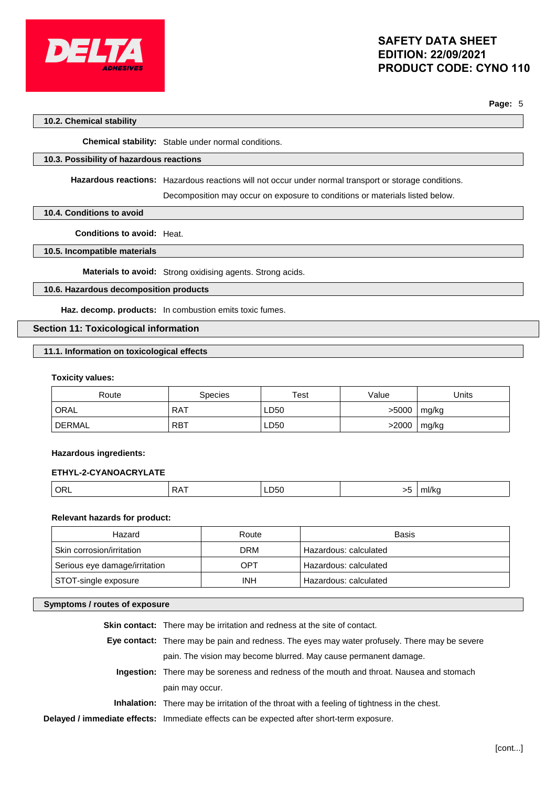

**Page:** 5

#### **10.2. Chemical stability**

**Chemical stability:** Stable under normal conditions.

#### **10.3. Possibility of hazardous reactions**

**Hazardous reactions:** Hazardous reactions will not occur under normal transport or storage conditions.

Decomposition may occur on exposure to conditions or materials listed below.

#### **10.4. Conditions to avoid**

**Conditions to avoid:** Heat.

#### **10.5. Incompatible materials**

**Materials to avoid:** Strong oxidising agents. Strong acids.

### **10.6. Hazardous decomposition products**

**Haz. decomp. products:** In combustion emits toxic fumes.

## **Section 11: Toxicological information**

#### **11.1. Information on toxicological effects**

#### **Toxicity values:**

| Route  | Species    | Test | Value | Units |
|--------|------------|------|-------|-------|
| ORAL   | <b>RAT</b> | LD50 | >5000 | mg/kg |
| DERMAL | <b>RBT</b> | LD50 | >2000 | mg/kg |

#### **Hazardous ingredients:**

#### **ETHYL-2-CYANOACRYLATE**

|  |  | ∼<br> | LD50 | $\sim$ | <b>THIRE</b> |
|--|--|-------|------|--------|--------------|
|--|--|-------|------|--------|--------------|

## **Relevant hazards for product:**

| Hazard                        | Route      | Basis                 |
|-------------------------------|------------|-----------------------|
| Skin corrosion/irritation     | <b>DRM</b> | Hazardous: calculated |
| Serious eye damage/irritation | OPT        | Hazardous: calculated |
| STOT-single exposure          | <b>INH</b> | Hazardous: calculated |

# **Symptoms / routes of exposure**

| <b>Skin contact:</b> There may be irritation and redness at the site of contact.                   |
|----------------------------------------------------------------------------------------------------|
| Eye contact: There may be pain and redness. The eyes may water profusely. There may be severe      |
| pain. The vision may become blurred. May cause permanent damage.                                   |
| Ingestion: There may be soreness and redness of the mouth and throat. Nausea and stomach           |
| pain may occur.                                                                                    |
| <b>Inhalation:</b> There may be irritation of the throat with a feeling of tightness in the chest. |
| Delayed / immediate effects: Immediate effects can be expected after short-term exposure.          |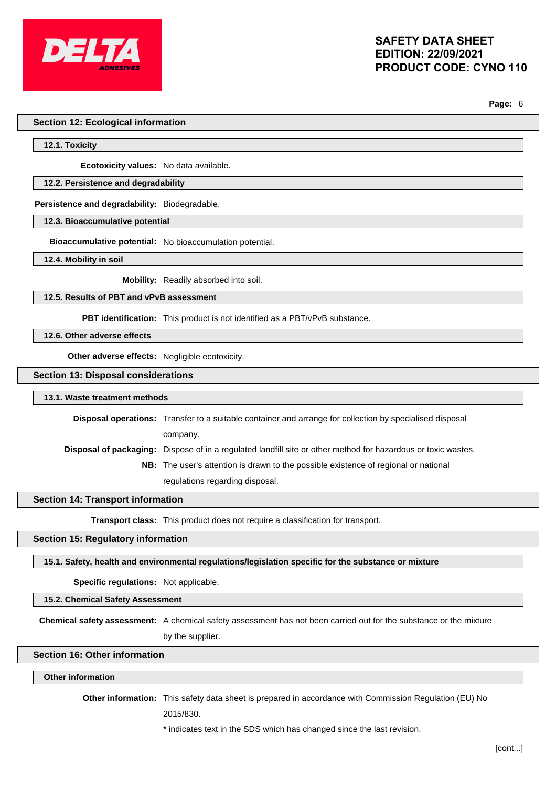

**Page:** 6

#### **Section 12: Ecological information**

**12.1. Toxicity**

**Ecotoxicity values:** No data available.

#### **12.2. Persistence and degradability**

**Persistence and degradability:** Biodegradable.

**12.3. Bioaccumulative potential**

**Bioaccumulative potential:** No bioaccumulation potential.

**12.4. Mobility in soil**

**Mobility:** Readily absorbed into soil.

**12.5. Results of PBT and vPvB assessment**

**PBT identification:** This product is not identified as a PBT/vPvB substance.

**12.6. Other adverse effects**

**Other adverse effects:** Negligible ecotoxicity.

**Section 13: Disposal considerations**

#### **13.1. Waste treatment methods**

**Disposal operations:** Transfer to a suitable container and arrange for collection by specialised disposal company. **Disposal of packaging:** Dispose of in a regulated landfill site or other method for hazardous or toxic wastes. **NB:** The user's attention is drawn to the possible existence of regional or national

regulations regarding disposal.

#### **Section 14: Transport information**

**Transport class:** This product does not require a classification for transport.

#### **Section 15: Regulatory information**

**15.1. Safety, health and environmental regulations/legislation specific for the substance or mixture**

**Specific regulations:** Not applicable.

**15.2. Chemical Safety Assessment**

**Chemical safety assessment:** A chemical safety assessment has not been carried out for the substance or the mixture by the supplier.

### **Section 16: Other information**

#### **Other information**

**Other information:** This safety data sheet is prepared in accordance with Commission Regulation (EU) No

2015/830.

\* indicates text in the SDS which has changed since the last revision.